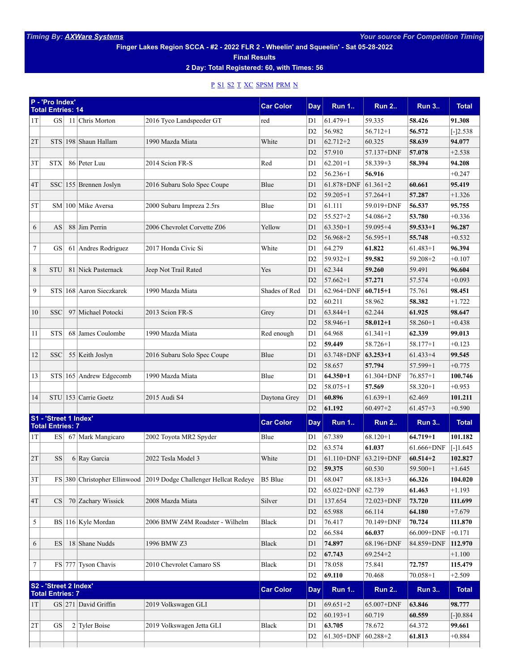**Finger Lakes Region SCCA - #2 - 2022 FLR 2 - Wheelin' and Squeelin' - Sat 05-28-2022**

**Final Results**

**2 Day: Total Registered: 60, with Times: 56**

## [P](#page-0-0) [S1](#page-0-1) [S2](#page-0-2) [T](#page-1-0) [XC](#page-1-1) [SPSM](#page-1-2) [PRM](#page-1-3) [N](#page-2-0)

<span id="page-0-2"></span><span id="page-0-1"></span><span id="page-0-0"></span>

|                                                  | P - 'Pro Index'<br><b>Total Entries: 14</b> |    |                            |                                                                   | <b>Car Color</b> | Day            | <b>Run 1</b> | <b>Run 2</b> | <b>Run 3</b> | <b>Total</b> |
|--------------------------------------------------|---------------------------------------------|----|----------------------------|-------------------------------------------------------------------|------------------|----------------|--------------|--------------|--------------|--------------|
| 1T                                               | <b>GS</b>                                   |    | 11 Chris Morton            | 2016 Tyco Landspeeder GT                                          | red              | D1             | $61.479 + 1$ | 59.335       | 58.426       | 91.308       |
|                                                  |                                             |    |                            |                                                                   |                  | D <sub>2</sub> | 56.982       | $56.712 + 1$ | 56.572       | $[-]2.538$   |
| 2T                                               |                                             |    | STS 198 Shaun Hallam       | 1990 Mazda Miata                                                  | White            | D1             | $62.712 + 2$ | 60.325       | 58.639       | 94.077       |
|                                                  |                                             |    |                            |                                                                   |                  | D2             | 57.910       | 57.137+DNF   | 57.078       | $+2.538$     |
| 3T                                               | <b>STX</b>                                  |    | 86 Peter Luu               | 2014 Scion FR-S                                                   | Red              | D1             | $62.201 + 1$ | 58.339+3     | 58.394       | 94.208       |
|                                                  |                                             |    |                            |                                                                   |                  | D <sub>2</sub> | $56.236 + 1$ | 56.916       |              | $+0.247$     |
| 4T                                               |                                             |    | $SSC$   155 Brennen Joslyn | 2016 Subaru Solo Spec Coupe                                       | Blue             | D1             | 61.878+DNF   | $61.361 + 2$ | 60.661       | 95.419       |
|                                                  |                                             |    |                            |                                                                   |                  | D2             | $59.205 + 1$ | $57.264 + 1$ | 57.287       | $+1.326$     |
| 5T                                               |                                             |    | SM 100 Mike Aversa         | 2000 Subaru Impreza 2.5rs                                         | Blue             | D1             | 61.111       | 59.019+DNF   | 56.537       | 95.755       |
|                                                  |                                             |    |                            |                                                                   |                  | D2             | 55.527+2     | 54.086+2     | 53.780       | $+0.336$     |
| 6                                                | AS                                          |    | 88 Jim Perrin              | 2006 Chevrolet Corvette Z06                                       | Yellow           | D1             | $63.350+1$   | 59.095+4     | $59.533 + 1$ | 96.287       |
|                                                  |                                             |    |                            |                                                                   |                  | D2             | $56.968 + 2$ | $56.595 + 1$ | 55.748       | $+0.532$     |
| 7                                                | GS                                          |    | 61 Andres Rodriguez        | 2017 Honda Civic Si                                               | White            | D1             | 64.279       | 61.822       | $61.483 + 1$ | 96.394       |
|                                                  |                                             |    |                            |                                                                   |                  | D <sub>2</sub> | $59.932 + 1$ | 59.582       | $59.208 + 2$ | $+0.107$     |
| 8                                                | <b>STU</b>                                  | 81 | Nick Pasternack            | Jeep Not Trail Rated                                              | Yes              | D1             | 62.344       | 59.260       | 59.491       | 96.604       |
|                                                  |                                             |    |                            |                                                                   |                  | D2             | $57.662 + 1$ | 57.271       | 57.574       | $+0.093$     |
| 9                                                |                                             |    | STS 168 Aaron Sieczkarek   | 1990 Mazda Miata                                                  | Shades of Red    | D1             | 62.964+DNF   | $60.715 + 1$ | 75.761       | 98.451       |
|                                                  |                                             |    |                            |                                                                   |                  | D <sub>2</sub> | 60.211       | 58.962       | 58.382       | $+1.722$     |
| 10                                               | <b>SSC</b>                                  |    | 97 Michael Potocki         | 2013 Scion FR-S                                                   | Grey             | D1             | $63.844 + 1$ | 62.244       | 61.925       | 98.647       |
|                                                  |                                             |    |                            |                                                                   |                  | D2             | 58.946+1     | $58.012 + 1$ | $58.260 + 1$ | $+0.438$     |
| 11                                               | <b>STS</b>                                  |    | 68 James Coulombe          | 1990 Mazda Miata                                                  | Red enough       | D1             | 64.968       | $61.341 + 1$ | 62.339       | 99.013       |
|                                                  |                                             |    |                            |                                                                   |                  |                |              |              |              |              |
|                                                  |                                             |    |                            |                                                                   |                  | D <sub>2</sub> | 59.449       | 58.726+1     | $58.177 + 1$ | $+0.123$     |
| 12                                               | <b>SSC</b>                                  |    | 55 Keith Joslyn            | 2016 Subaru Solo Spec Coupe                                       | Blue             | D1             | 63.748+DNF   | $63.253 + 1$ | $61.433 + 4$ | 99.545       |
|                                                  |                                             |    |                            |                                                                   |                  | D <sub>2</sub> | 58.657       | 57.794       | 57.599+1     | $+0.775$     |
| 13                                               |                                             |    | STS 165 Andrew Edgecomb    | 1990 Mazda Miata                                                  | Blue             | D1             | $64.350 + 1$ | 61.304+DNF   | $76.857 + 1$ | 100.746      |
|                                                  |                                             |    |                            |                                                                   |                  | D2             | 58.075+1     | 57.569       | 58.320+1     | $+0.953$     |
| 14                                               |                                             |    | STU 153 Carrie Goetz       | 2015 Audi S4                                                      | Daytona Grey     | D1             | 60.896       | $61.639 + 1$ | 62.469       | 101.211      |
|                                                  |                                             |    |                            |                                                                   |                  | D <sub>2</sub> | 61.192       | $60.497 + 2$ | $61.457 + 3$ | $+0.590$     |
| S1 - 'Street 1 Index'<br><b>Total Entries: 7</b> |                                             |    |                            | <b>Car Color</b>                                                  | Day              | <b>Run 1</b>   | <b>Run 2</b> | <b>Run 3</b> | <b>Total</b> |              |
| 1T                                               | <b>ES</b>                                   |    | 67 Mark Mangicaro          | 2002 Toyota MR2 Spyder                                            | Blue             | D1             | 67.389       | $68.120 + 1$ | $64.719 + 1$ | 101.182      |
|                                                  |                                             |    |                            |                                                                   |                  | D2             | 63.574       | 61.037       | 61.666+DNF   | $[-]1.645$   |
| 2T                                               | SS                                          |    | 6 Ray Garcia               | 2022 Tesla Model 3                                                | White            | D1             | 61.110+DNF   | 63.219+DNF   | $60.514 + 2$ | 102.827      |
|                                                  |                                             |    |                            |                                                                   |                  | D2             | 59.375       | 60.530       | $59.500 + 1$ | $+1.645$     |
| $3\mathrm{T}$                                    |                                             |    |                            | FS 380 Christopher Ellinwood 2019 Dodge Challenger Hellcat Redeye | $ B5 B$ lue      | D1             | 68.047       | $68.183 + 3$ | 66.326       | 104.020      |
|                                                  |                                             |    |                            |                                                                   |                  | D2             | 65.022+DNF   | 62.739       | 61.463       | $+1.193$     |
| 4T                                               | CS                                          |    | 70 Zachary Wissick         | 2008 Mazda Miata                                                  | Silver           | D1             | 137.654      | 72.023+DNF   | 73.720       | 111.699      |
|                                                  |                                             |    |                            |                                                                   |                  | D2             | 65.988       | 66.114       | 64.180       | $+7.679$     |
| 5                                                |                                             |    | BS 116 Kyle Mordan         | 2006 BMW Z4M Roadster - Wilhelm                                   | Black            | D1             | 76.417       | 70.149+DNF   | 70.724       | 111.870      |
|                                                  |                                             |    |                            |                                                                   |                  | D2             | 66.584       | 66.037       | 66.009+DNF   | $+0.171$     |
| 6                                                | ES                                          |    | 18 Shane Nudds             | 1996 BMW Z3                                                       | <b>Black</b>     | D1             | 74.897       | 68.196+DNF   | 84.859+DNF   | 112.970      |
|                                                  |                                             |    |                            |                                                                   |                  | D2             | 67.743       | $69.254 + 2$ |              | $+1.100$     |
| 7                                                |                                             |    | FS 777 Tyson Chavis        | 2010 Chevrolet Camaro SS                                          | Black            | D1             | 78.058       | 75.841       | 72.757       | 115.479      |
|                                                  |                                             |    |                            |                                                                   |                  | D2             | 69.110       | 70.468       | $70.058 + 1$ | $+2.509$     |
| S2 - 'Street 2 Index'                            |                                             |    |                            |                                                                   | <b>Car Color</b> |                | <b>Run 1</b> |              |              |              |
|                                                  | <b>Total Entries: 7</b>                     |    |                            |                                                                   |                  | Day            |              | <b>Run 2</b> | <b>Run 3</b> | <b>Total</b> |
| 1T                                               |                                             |    | $GS$ 271 David Griffin     | 2019 Volkswagen GLI                                               |                  | D1             | $69.651 + 2$ | 65.007+DNF   | 63.846       | 98.777       |
|                                                  |                                             |    |                            |                                                                   |                  | D2             | $60.193 + 1$ | 60.719       | 60.559       | $[-]0.884$   |
| 2T                                               | GS                                          |    | $2$ Tyler Boise            | 2019 Volkswagen Jetta GLI                                         | Black            | D1             | 63.705       | 78.672       | 64.372       | 99.661       |
|                                                  |                                             |    |                            |                                                                   |                  | D2             | 61.305+DNF   | $60.288 + 2$ | 61.813       | $+0.884$     |
|                                                  |                                             |    |                            |                                                                   |                  |                |              |              |              |              |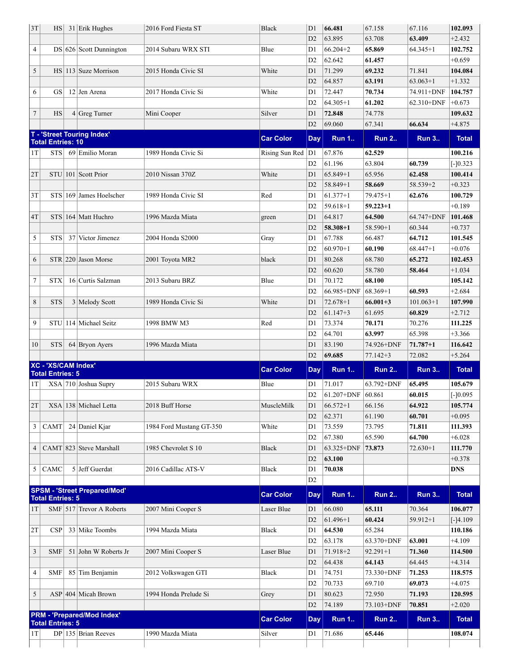<span id="page-1-3"></span><span id="page-1-2"></span><span id="page-1-1"></span><span id="page-1-0"></span>

|                |                          | $HS$ 31 Erik Hughes                                     | 2016 Ford Fiesta ST      | <b>Black</b>          | D1             | 66.481                   | 67.158       | 67.116         | 102.093                                                                                                                                                                                                                                                                                                                                                                                                                                                      |
|----------------|--------------------------|---------------------------------------------------------|--------------------------|-----------------------|----------------|--------------------------|--------------|----------------|--------------------------------------------------------------------------------------------------------------------------------------------------------------------------------------------------------------------------------------------------------------------------------------------------------------------------------------------------------------------------------------------------------------------------------------------------------------|
|                |                          |                                                         |                          |                       | D <sub>2</sub> | 63.895                   | 63.708       | 63.409         | $+2.432$                                                                                                                                                                                                                                                                                                                                                                                                                                                     |
| 4              |                          | $DS 626 $ Scott Dunnington                              | 2014 Subaru WRX STI      | Blue                  | D1             | $66.204 + 2$             | 65.869       | $64.345 + 1$   | 102.752                                                                                                                                                                                                                                                                                                                                                                                                                                                      |
|                |                          |                                                         |                          |                       | D <sub>2</sub> | 62.642                   | 61.457       |                | $+0.659$                                                                                                                                                                                                                                                                                                                                                                                                                                                     |
| 5              |                          | $HS \mid 113 \mid Suze$ Morrison                        | 2015 Honda Civic SI      | White                 | D1             | 71.299                   | 69.232       | 71.841         | 104.084                                                                                                                                                                                                                                                                                                                                                                                                                                                      |
|                |                          |                                                         |                          |                       | D <sub>2</sub> | 64.857                   | 63.191       | $63.063+1$     | $+1.332$                                                                                                                                                                                                                                                                                                                                                                                                                                                     |
| 6              | <b>GS</b>                | $12$ Jen Arena                                          | 2017 Honda Civic Si      | White                 | D1             | 72.447                   | 70.734       | 74.911+DNF     | 104.757                                                                                                                                                                                                                                                                                                                                                                                                                                                      |
|                |                          |                                                         |                          |                       | D <sub>2</sub> | $64.305+1$               | 61.202       | $62.310 + DNF$ | $+0.673$                                                                                                                                                                                                                                                                                                                                                                                                                                                     |
| $\overline{7}$ | <b>HS</b>                | $4 Greg$ Turner                                         | Mini Cooper              | Silver                | D1             | 72.848                   | 74.778       |                | 109.632                                                                                                                                                                                                                                                                                                                                                                                                                                                      |
|                |                          |                                                         |                          |                       | D2             | 69.060                   | 67.341       | 66.634         | $+4.875$                                                                                                                                                                                                                                                                                                                                                                                                                                                     |
|                | <b>Total Entries: 10</b> | T - 'Street Touring Index'                              |                          | <b>Car Color</b>      | Day            | <b>Run 1</b>             | <b>Run 2</b> | <b>Run 3</b>   | <b>Total</b>                                                                                                                                                                                                                                                                                                                                                                                                                                                 |
| 1T             | <b>STS</b>               | 69 Emilio Moran                                         | 1989 Honda Civic Si      | Rising Sun Red $ D1 $ |                | 67.876                   | 62.529       |                | 100.216                                                                                                                                                                                                                                                                                                                                                                                                                                                      |
|                |                          |                                                         |                          |                       | D2             | 61.196                   | 63.804       | 60.739         |                                                                                                                                                                                                                                                                                                                                                                                                                                                              |
| 2T             |                          | $STU$ 101 Scott Prior                                   | 2010 Nissan 370Z         | White                 | D1             | $65.849+1$               | 65.956       | 62.458         |                                                                                                                                                                                                                                                                                                                                                                                                                                                              |
|                |                          |                                                         |                          |                       | D <sub>2</sub> | $58.849 + 1$             | 58.669       | 58.539+2       |                                                                                                                                                                                                                                                                                                                                                                                                                                                              |
| 3T             |                          | STS 169 James Hoelscher                                 | 1989 Honda Civic SI      | Red                   | D1             | $ 61.377+1$              | $79.475 + 1$ | 62.676         |                                                                                                                                                                                                                                                                                                                                                                                                                                                              |
|                |                          |                                                         |                          |                       | D <sub>2</sub> | $59.618 + 1$             | $59.223 + 1$ |                |                                                                                                                                                                                                                                                                                                                                                                                                                                                              |
| 4T             |                          | $STS$ 164 Matt Huchro                                   | 1996 Mazda Miata         | green                 | D1             | 64.817                   | 64.500       | 64.747+DNF     |                                                                                                                                                                                                                                                                                                                                                                                                                                                              |
|                |                          |                                                         |                          |                       | D <sub>2</sub> | $ 58.308+1$              | $58.590 + 1$ | 60.344         |                                                                                                                                                                                                                                                                                                                                                                                                                                                              |
| 5              | <b>STS</b>               | 37 Victor Jimenez                                       | 2004 Honda S2000         | Gray                  | D1             | 67.788                   | 66.487       | 64.712         |                                                                                                                                                                                                                                                                                                                                                                                                                                                              |
|                |                          |                                                         |                          |                       | D <sub>2</sub> | $60.970 + 1$             | 60.190       | $68.447 + 1$   |                                                                                                                                                                                                                                                                                                                                                                                                                                                              |
| 6              |                          | $STR$ 220 Jason Morse                                   | 2001 Toyota MR2          | black                 | D1             | 80.268                   | 68.780       | 65.272         |                                                                                                                                                                                                                                                                                                                                                                                                                                                              |
|                |                          |                                                         |                          |                       | D2             | 60.620                   | 58.780       | 58.464         |                                                                                                                                                                                                                                                                                                                                                                                                                                                              |
| 7              | <b>STX</b>               | 16 Curtis Salzman                                       | 2013 Subaru BRZ          | Blue                  | D1             | 70.172                   | 68.100       |                |                                                                                                                                                                                                                                                                                                                                                                                                                                                              |
|                |                          |                                                         |                          |                       | D <sub>2</sub> | 66.985+DNF               | $ 68.369+1$  | 60.593         | $[-]0.323$<br>100.414<br>$+0.323$<br>100.729<br>$+0.189$<br>101.468<br>$+0.737$<br>101.545<br>$+0.076$<br>102.453<br>$+1.034$<br>105.142<br>$+2.684$<br>107.990<br>$+2.712$<br>111.225<br>$+3.366$<br>116.642<br>$+5.264$<br><b>Total</b><br>105.679<br>$[-]0.095$<br>105.774<br>$+0.095$<br>111.393<br>$+6.028$<br>111.770<br>$+0.378$<br>DNS<br><b>Total</b><br>106.077<br>$[-]4.109$<br>110.186<br>$+4.109$<br>114.500<br>$+4.314$<br>118.575<br>$+4.075$ |
| 8              | <b>STS</b>               | 3 Melody Scott                                          | 1989 Honda Civic Si      | White                 | D1             | 72.678+1                 | $66.001 + 3$ | $101.063+1$    |                                                                                                                                                                                                                                                                                                                                                                                                                                                              |
|                |                          |                                                         |                          |                       | D2             | $ 61.147+3$              | 61.695       | 60.829         |                                                                                                                                                                                                                                                                                                                                                                                                                                                              |
| 9              |                          | STU 114 Michael Seitz                                   | 1998 BMW M3              | Red                   | D1             | 73.374                   | 70.171       | 70.276         |                                                                                                                                                                                                                                                                                                                                                                                                                                                              |
|                |                          |                                                         |                          |                       | D <sub>2</sub> | 64.701                   | 63.997       | 65.398         |                                                                                                                                                                                                                                                                                                                                                                                                                                                              |
| 10             | STS                      | 64 Bryon Ayers                                          |                          |                       | D1             | 83.190                   | 74.926+DNF   | $71.787 + 1$   |                                                                                                                                                                                                                                                                                                                                                                                                                                                              |
|                |                          |                                                         | 1996 Mazda Miata         |                       | D <sub>2</sub> | 69.685                   | $77.142 + 3$ | 72.082         |                                                                                                                                                                                                                                                                                                                                                                                                                                                              |
|                | XC - 'XS/CAM Index'      |                                                         |                          |                       |                |                          |              |                |                                                                                                                                                                                                                                                                                                                                                                                                                                                              |
|                | <b>Total Entries: 5</b>  |                                                         |                          | <b>Car Color</b>      | Day            | <b>Run 1</b>             | <b>Run 2</b> | <b>Run 3</b>   |                                                                                                                                                                                                                                                                                                                                                                                                                                                              |
| 1T             |                          | $XSA$ 710 Joshua Supry                                  | 2015 Subaru WRX          | Blue                  | D1             | 71.017                   | 63.792+DNF   | 65.495         |                                                                                                                                                                                                                                                                                                                                                                                                                                                              |
|                |                          |                                                         |                          |                       | D2             | $ 61.207 + DNF$ 60.861   |              | 60.015         |                                                                                                                                                                                                                                                                                                                                                                                                                                                              |
| 2T             |                          | $XSA$ 138 Michael Letta                                 | 2018 Buff Horse          | MuscleMilk            |                | $\overline{D1}$ 66.572+1 | 66.156       | 64.922         |                                                                                                                                                                                                                                                                                                                                                                                                                                                              |
|                |                          |                                                         |                          |                       |                |                          |              |                |                                                                                                                                                                                                                                                                                                                                                                                                                                                              |
|                |                          |                                                         |                          |                       | D <sub>2</sub> | 62.371                   | 61.190       | 60.701         |                                                                                                                                                                                                                                                                                                                                                                                                                                                              |
| 3              | CAMT                     | 24 Daniel Kjar                                          | 1984 Ford Mustang GT-350 | White                 | D1             | 73.559                   | 73.795       | 71.811         |                                                                                                                                                                                                                                                                                                                                                                                                                                                              |
|                |                          |                                                         |                          |                       | D <sub>2</sub> | 67.380                   | 65.590       | 64.700         |                                                                                                                                                                                                                                                                                                                                                                                                                                                              |
| 4 <sup>1</sup> |                          | $CAMT$ 823 Steve Marshall                               | 1985 Chevrolet S 10      | <b>Black</b>          | D1             | $63.325 + DNF$           | 73.873       | $72.630 + 1$   |                                                                                                                                                                                                                                                                                                                                                                                                                                                              |
|                |                          |                                                         |                          |                       | D2             | 63.100                   |              |                |                                                                                                                                                                                                                                                                                                                                                                                                                                                              |
| 5              | CAMC                     | $5$ Jeff Guerdat                                        | 2016 Cadillac ATS-V      | Black                 | D1             | 70.038                   |              |                |                                                                                                                                                                                                                                                                                                                                                                                                                                                              |
|                |                          |                                                         |                          |                       | D <sub>2</sub> |                          |              |                |                                                                                                                                                                                                                                                                                                                                                                                                                                                              |
|                |                          | <b>SPSM - 'Street Prepared/Mod'</b>                     |                          | <b>Car Color</b>      | <b>Day</b>     | <b>Run 1</b>             | <b>Run 2</b> | <b>Run 3</b>   |                                                                                                                                                                                                                                                                                                                                                                                                                                                              |
| 1T             | <b>Total Entries: 5</b>  | $SMF$ 517 Trevor A Roberts                              | 2007 Mini Cooper S       | Laser Blue            | D1             | 66.080                   | 65.111       | 70.364         |                                                                                                                                                                                                                                                                                                                                                                                                                                                              |
|                |                          |                                                         |                          |                       | D2             | $ 61.496+1$              | 60.424       | $59.912 + 1$   |                                                                                                                                                                                                                                                                                                                                                                                                                                                              |
|                | CSP                      | 33 Mike Toombs                                          | 1994 Mazda Miata         | Black                 | D1             | 64.530                   | 65.284       |                |                                                                                                                                                                                                                                                                                                                                                                                                                                                              |
|                |                          |                                                         |                          |                       | D <sub>2</sub> |                          |              | 63.001         |                                                                                                                                                                                                                                                                                                                                                                                                                                                              |
|                |                          |                                                         |                          |                       |                | 63.178                   | 63.370+DNF   |                |                                                                                                                                                                                                                                                                                                                                                                                                                                                              |
| 2T<br>3        | <b>SMF</b>               | 51 John W Roberts Jr                                    | 2007 Mini Cooper S       | Laser Blue            | D1             | 71.918+2                 | $92.291 + 1$ | 71.360         |                                                                                                                                                                                                                                                                                                                                                                                                                                                              |
|                |                          |                                                         |                          |                       | D <sub>2</sub> | 64.438                   | 64.143       | 64.445         |                                                                                                                                                                                                                                                                                                                                                                                                                                                              |
| 4              | SMF                      | 85 Tim Benjamin                                         | 2012 Volkswagen GTI      | <b>Black</b>          | D1             | 74.751                   | 73.330+DNF   | 71.253         |                                                                                                                                                                                                                                                                                                                                                                                                                                                              |
|                |                          |                                                         |                          |                       | D2             | 70.733                   | 69.710       | 69.073         |                                                                                                                                                                                                                                                                                                                                                                                                                                                              |
| 5              |                          | $ASP$ 404 Micah Brown                                   | 1994 Honda Prelude Si    | Grey                  | D1             | 80.623                   | 72.950       | 71.193         | 120.595                                                                                                                                                                                                                                                                                                                                                                                                                                                      |
|                |                          |                                                         |                          |                       | D2             | 74.189                   | 73.103+DNF   | 70.851         | $+2.020$                                                                                                                                                                                                                                                                                                                                                                                                                                                     |
|                | <b>Total Entries: 5</b>  | PRM - 'Prepared/Mod Index'<br>$DP$   135   Brian Reeves |                          | <b>Car Color</b>      | Day            | <b>Run 1</b>             | <b>Run 2</b> | <b>Run 3</b>   | Total                                                                                                                                                                                                                                                                                                                                                                                                                                                        |